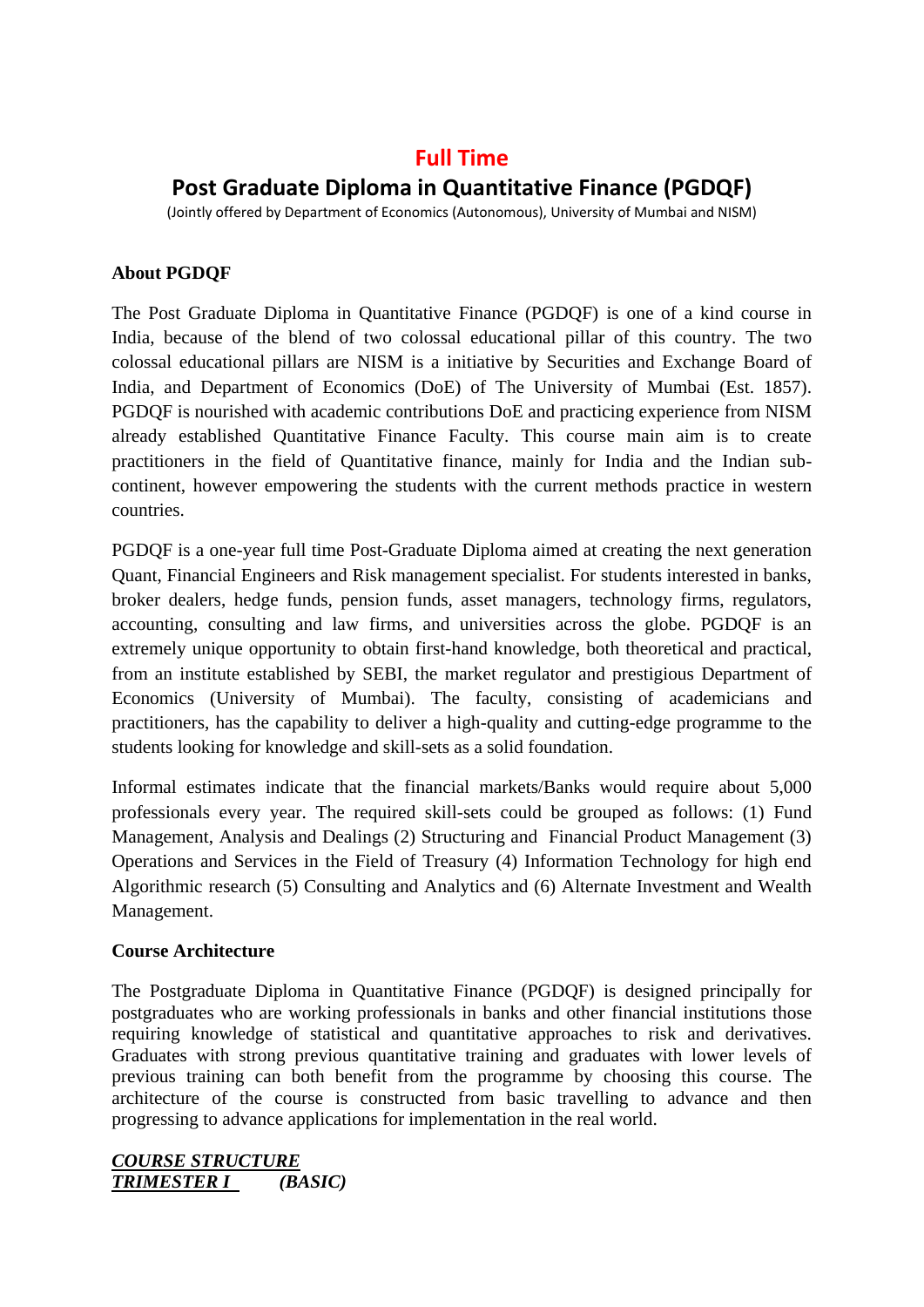# **Full Time**

# **Post Graduate Diploma in Quantitative Finance (PGDQF)**

(Jointly offered by Department of Economics (Autonomous), University of Mumbai and NISM)

# **About PGDQF**

The Post Graduate Diploma in Quantitative Finance (PGDQF) is one of a kind course in India, because of the blend of two colossal educational pillar of this country. The two colossal educational pillars are NISM is a initiative by Securities and Exchange Board of India, and Department of Economics (DoE) of The University of Mumbai (Est. 1857). PGDQF is nourished with academic contributions DoE and practicing experience from NISM already established Quantitative Finance Faculty. This course main aim is to create practitioners in the field of Quantitative finance, mainly for India and the Indian subcontinent, however empowering the students with the current methods practice in western countries.

PGDQF is a one-year full time Post-Graduate Diploma aimed at creating the next generation Quant, Financial Engineers and Risk management specialist. For students interested in banks, broker dealers, hedge funds, pension funds, asset managers, technology firms, regulators, accounting, consulting and law firms, and universities across the globe. PGDQF is an extremely unique opportunity to obtain first-hand knowledge, both theoretical and practical, from an institute established by SEBI, the market regulator and prestigious Department of Economics (University of Mumbai). The faculty, consisting of academicians and practitioners, has the capability to deliver a high-quality and cutting-edge programme to the students looking for knowledge and skill-sets as a solid foundation.

Informal estimates indicate that the financial markets/Banks would require about 5,000 professionals every year. The required skill-sets could be grouped as follows: (1) Fund Management, Analysis and Dealings (2) Structuring and Financial Product Management (3) Operations and Services in the Field of Treasury (4) Information Technology for high end Algorithmic research (5) Consulting and Analytics and (6) Alternate Investment and Wealth Management.

### **Course Architecture**

The Postgraduate Diploma in Quantitative Finance (PGDQF) is designed principally for postgraduates who are working professionals in banks and other financial institutions those requiring knowledge of statistical and quantitative approaches to risk and derivatives. Graduates with strong previous quantitative training and graduates with lower levels of previous training can both benefit from the programme by choosing this course. The architecture of the course is constructed from basic travelling to advance and then progressing to advance applications for implementation in the real world.

### *COURSE STRUCTURE TRIMESTER I (BASIC)*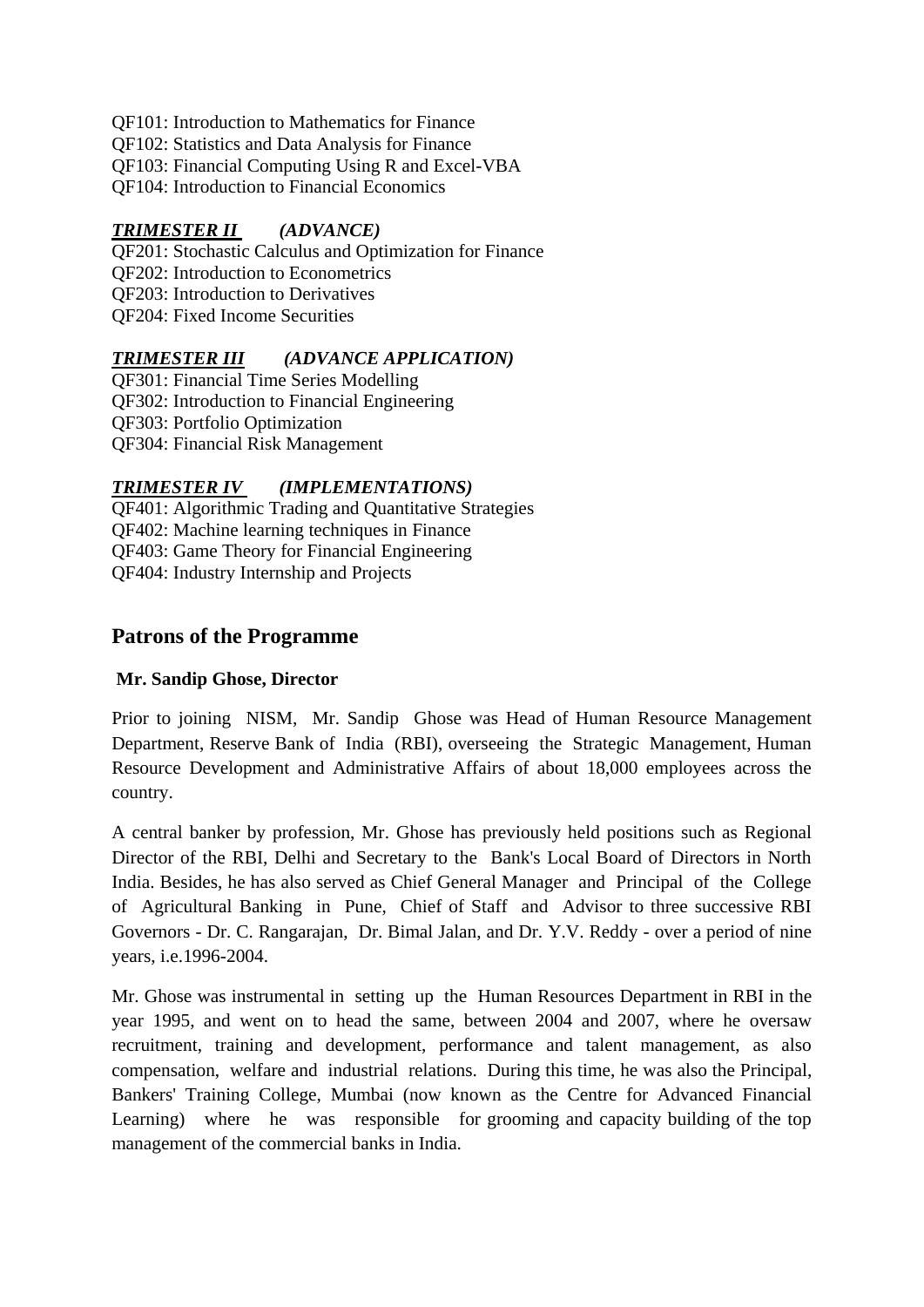- QF101: Introduction to Mathematics for Finance
- QF102: Statistics and Data Analysis for Finance
- QF103: Financial Computing Using R and Excel-VBA
- QF104: Introduction to Financial Economics

# *TRIMESTER II (ADVANCE)*

QF201: Stochastic Calculus and Optimization for Finance QF202: Introduction to Econometrics QF203: Introduction to Derivatives QF204: Fixed Income Securities

# *TRIMESTER III (ADVANCE APPLICATION)*

QF301: Financial Time Series Modelling QF302: Introduction to Financial Engineering QF303: Portfolio Optimization QF304: Financial Risk Management

### *TRIMESTER IV (IMPLEMENTATIONS)*

QF401: Algorithmic Trading and Quantitative Strategies QF402: Machine learning techniques in Finance QF403: Game Theory for Financial Engineering QF404: Industry Internship and Projects

# **Patrons of the Programme**

### **Mr. Sandip Ghose, Director**

Prior to joining NISM, Mr. Sandip Ghose was Head of Human Resource Management Department, Reserve Bank of India (RBI), overseeing the Strategic Management, Human Resource Development and Administrative Affairs of about 18,000 employees across the country.

A central banker by profession, Mr. Ghose has previously held positions such as Regional Director of the RBI, Delhi and Secretary to the Bank's Local Board of Directors in North India. Besides, he has also served as Chief General Manager and Principal of the College of Agricultural Banking in Pune, Chief of Staff and Advisor to three successive RBI Governors - Dr. C. Rangarajan, Dr. Bimal Jalan, and Dr. Y.V. Reddy - over a period of nine years, i.e.1996-2004.

Mr. Ghose was instrumental in setting up the Human Resources Department in RBI in the year 1995, and went on to head the same, between 2004 and 2007, where he oversaw recruitment, training and development, performance and talent management, as also compensation, welfare and industrial relations. During this time, he was also the Principal, Bankers' Training College, Mumbai (now known as the Centre for Advanced Financial Learning) where he was responsible for grooming and capacity building of the top management of the commercial banks in India.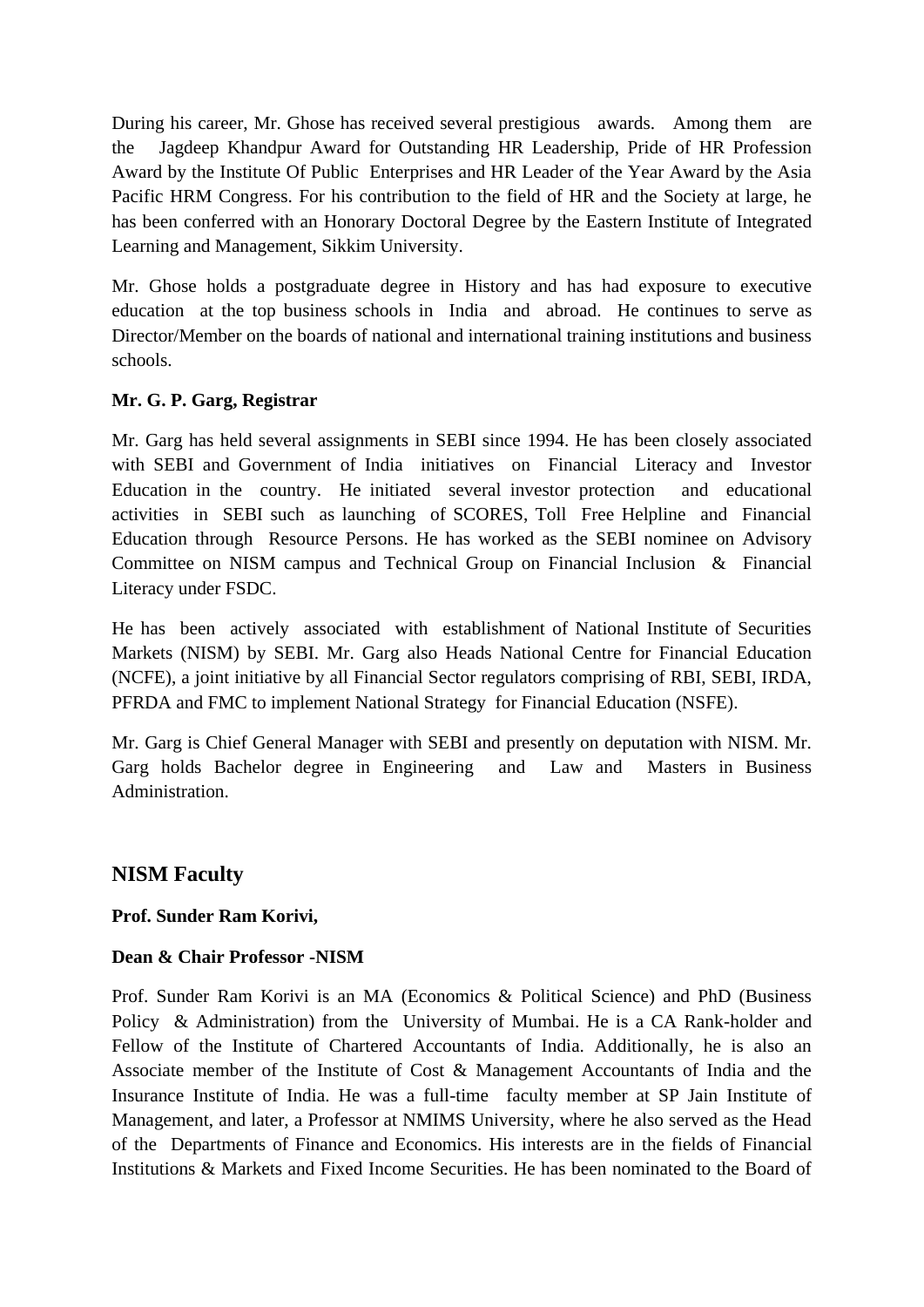During his career, Mr. Ghose has received several prestigious awards. Among them are the Jagdeep Khandpur Award for Outstanding HR Leadership, Pride of HR Profession Award by the Institute Of Public Enterprises and HR Leader of the Year Award by the Asia Pacific HRM Congress. For his contribution to the field of HR and the Society at large, he has been conferred with an Honorary Doctoral Degree by the Eastern Institute of Integrated Learning and Management, Sikkim University.

Mr. Ghose holds a postgraduate degree in History and has had exposure to executive education at the top business schools in India and abroad. He continues to serve as Director/Member on the boards of national and international training institutions and business schools.

# **Mr. G. P. Garg, Registrar**

Mr. Garg has held several assignments in SEBI since 1994. He has been closely associated with SEBI and Government of India initiatives on Financial Literacy and Investor Education in the country. He initiated several investor protection and educational activities in SEBI such as launching of SCORES, Toll Free Helpline and Financial Education through Resource Persons. He has worked as the SEBI nominee on Advisory Committee on NISM campus and Technical Group on Financial Inclusion & Financial Literacy under FSDC.

He has been actively associated with establishment of National Institute of Securities Markets (NISM) by SEBI. Mr. Garg also Heads National Centre for Financial Education (NCFE), a joint initiative by all Financial Sector regulators comprising of RBI, SEBI, IRDA, PFRDA and FMC to implement National Strategy for Financial Education (NSFE).

Mr. Garg is Chief General Manager with SEBI and presently on deputation with NISM. Mr. Garg holds Bachelor degree in Engineering and Law and Masters in Business Administration.

# **NISM Faculty**

### **Prof. Sunder Ram Korivi,**

### **Dean & Chair Professor -NISM**

Prof. Sunder Ram Korivi is an MA (Economics & Political Science) and PhD (Business Policy & Administration) from the University of Mumbai. He is a CA Rank-holder and Fellow of the Institute of Chartered Accountants of India. Additionally, he is also an Associate member of the Institute of Cost & Management Accountants of India and the Insurance Institute of India. He was a full-time faculty member at SP Jain Institute of Management, and later, a Professor at NMIMS University, where he also served as the Head of the Departments of Finance and Economics. His interests are in the fields of Financial Institutions & Markets and Fixed Income Securities. He has been nominated to the Board of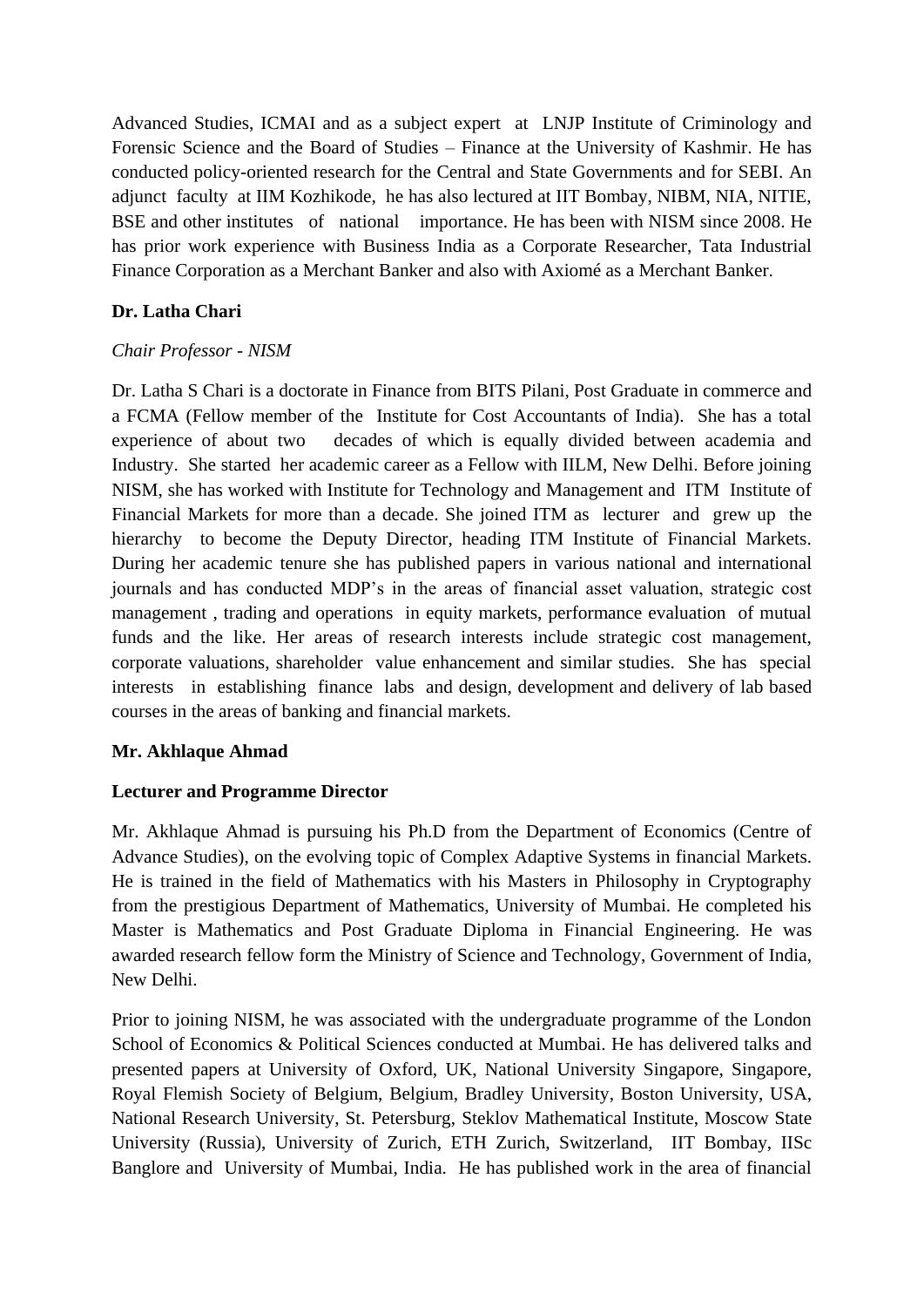Advanced Studies, ICMAI and as a subject expert at LNJP Institute of Criminology and Forensic Science and the Board of Studies – Finance at the University of Kashmir. He has conducted policy-oriented research for the Central and State Governments and for SEBI. An adjunct faculty at IIM Kozhikode, he has also lectured at IIT Bombay, NIBM, NIA, NITIE, BSE and other institutes of national importance. He has been with NISM since 2008. He has prior work experience with Business India as a Corporate Researcher, Tata Industrial Finance Corporation as a Merchant Banker and also with Axiomé as a Merchant Banker.

# **Dr. Latha Chari**

### *Chair Professor - NISM*

Dr. Latha S Chari is a doctorate in Finance from BITS Pilani, Post Graduate in commerce and a FCMA (Fellow member of the Institute for Cost Accountants of India). She has a total experience of about two decades of which is equally divided between academia and Industry. She started her academic career as a Fellow with IILM, New Delhi. Before joining NISM, she has worked with Institute for Technology and Management and ITM Institute of Financial Markets for more than a decade. She joined ITM as lecturer and grew up the hierarchy to become the Deputy Director, heading ITM Institute of Financial Markets. During her academic tenure she has published papers in various national and international journals and has conducted MDP's in the areas of financial asset valuation, strategic cost management , trading and operations in equity markets, performance evaluation of mutual funds and the like. Her areas of research interests include strategic cost management, corporate valuations, shareholder value enhancement and similar studies. She has special interests in establishing finance labs and design, development and delivery of lab based courses in the areas of banking and financial markets.

### **Mr. Akhlaque Ahmad**

### **Lecturer and Programme Director**

Mr. Akhlaque Ahmad is pursuing his Ph.D from the Department of Economics (Centre of Advance Studies), on the evolving topic of Complex Adaptive Systems in financial Markets. He is trained in the field of Mathematics with his Masters in Philosophy in Cryptography from the prestigious Department of Mathematics, University of Mumbai. He completed his Master is Mathematics and Post Graduate Diploma in Financial Engineering. He was awarded research fellow form the Ministry of Science and Technology, Government of India, New Delhi.

Prior to joining NISM, he was associated with the undergraduate programme of the London School of Economics & Political Sciences conducted at Mumbai. He has delivered talks and presented papers at University of Oxford, UK, National University Singapore, Singapore, Royal Flemish Society of Belgium, Belgium, Bradley University, Boston University, USA, National Research University, St. Petersburg, Steklov Mathematical Institute, Moscow State University (Russia), University of Zurich, ETH Zurich, Switzerland, IIT Bombay, IISc Banglore and University of Mumbai, India. He has published work in the area of financial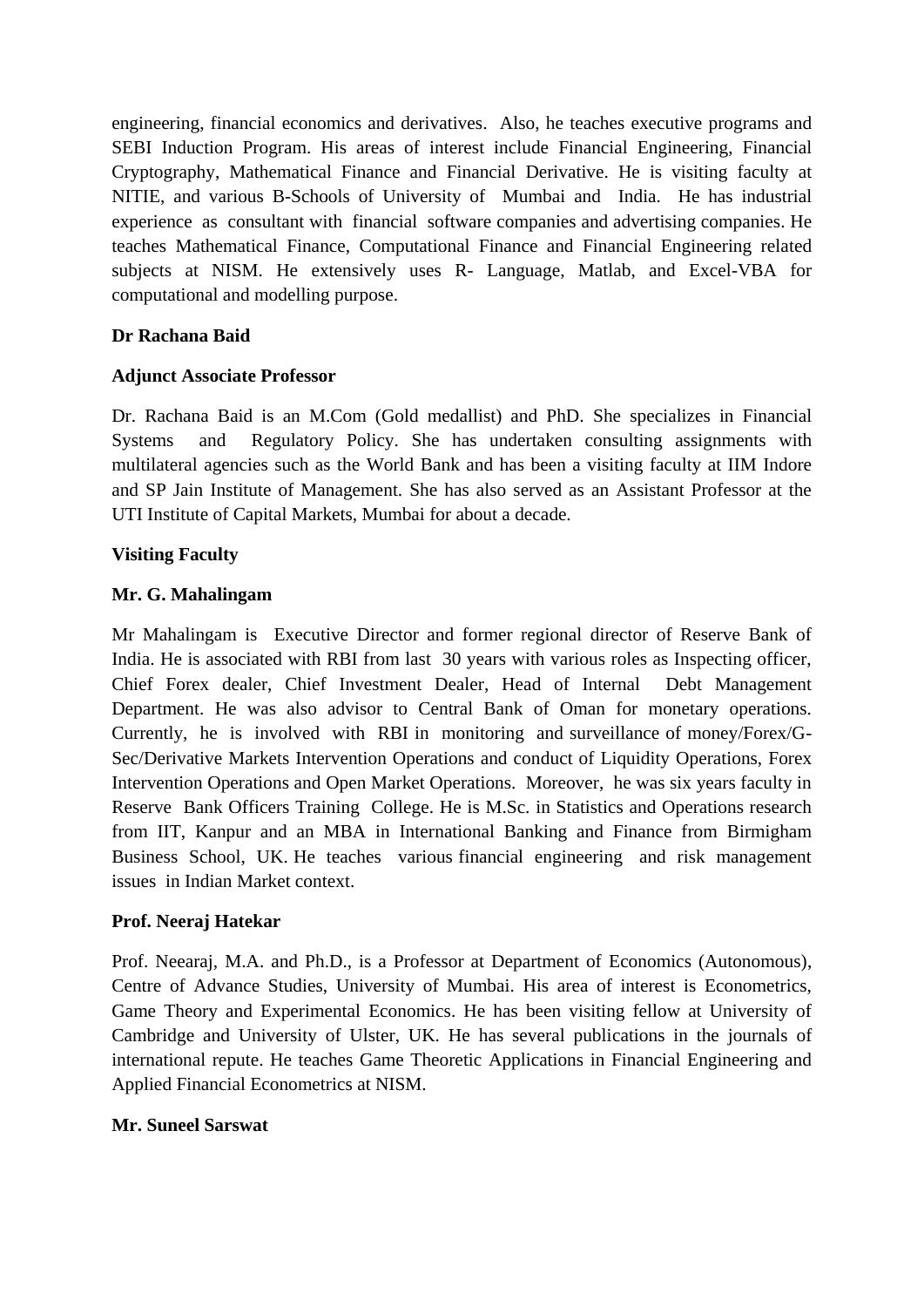engineering, financial economics and derivatives. Also, he teaches executive programs and SEBI Induction Program. His areas of interest include Financial Engineering, Financial Cryptography, Mathematical Finance and Financial Derivative. He is visiting faculty at NITIE, and various B-Schools of University of Mumbai and India. He has industrial experience as consultant with financial software companies and advertising companies. He teaches Mathematical Finance, Computational Finance and Financial Engineering related subjects at NISM. He extensively uses R- Language, Matlab, and Excel-VBA for computational and modelling purpose.

### **Dr Rachana Baid**

#### **Adjunct Associate Professor**

Dr. Rachana Baid is an M.Com (Gold medallist) and PhD. She specializes in Financial Systems and Regulatory Policy. She has undertaken consulting assignments with multilateral agencies such as the World Bank and has been a visiting faculty at IIM Indore and SP Jain Institute of Management. She has also served as an Assistant Professor at the UTI Institute of Capital Markets, Mumbai for about a decade.

### **Visiting Faculty**

### **Mr. G. Mahalingam**

Mr Mahalingam is Executive Director and former regional director of Reserve Bank of India. He is associated with RBI from last 30 years with various roles as Inspecting officer, Chief Forex dealer, Chief Investment Dealer, Head of Internal Debt Management Department. He was also advisor to Central Bank of Oman for monetary operations. Currently, he is involved with RBI in monitoring and surveillance of money/Forex/G-Sec/Derivative Markets Intervention Operations and conduct of Liquidity Operations, Forex Intervention Operations and Open Market Operations. Moreover, he was six years faculty in Reserve Bank Officers Training College. He is M.Sc. in Statistics and Operations research from IIT, Kanpur and an MBA in International Banking and Finance from Birmigham Business School, UK. He teaches various financial engineering and risk management issues in Indian Market context.

#### **Prof. Neeraj Hatekar**

Prof. Neearaj, M.A. and Ph.D., is a Professor at Department of Economics (Autonomous), Centre of Advance Studies, University of Mumbai. His area of interest is Econometrics, Game Theory and Experimental Economics. He has been visiting fellow at University of Cambridge and University of Ulster, UK. He has several publications in the journals of international repute. He teaches Game Theoretic Applications in Financial Engineering and Applied Financial Econometrics at NISM.

#### **Mr. Suneel Sarswat**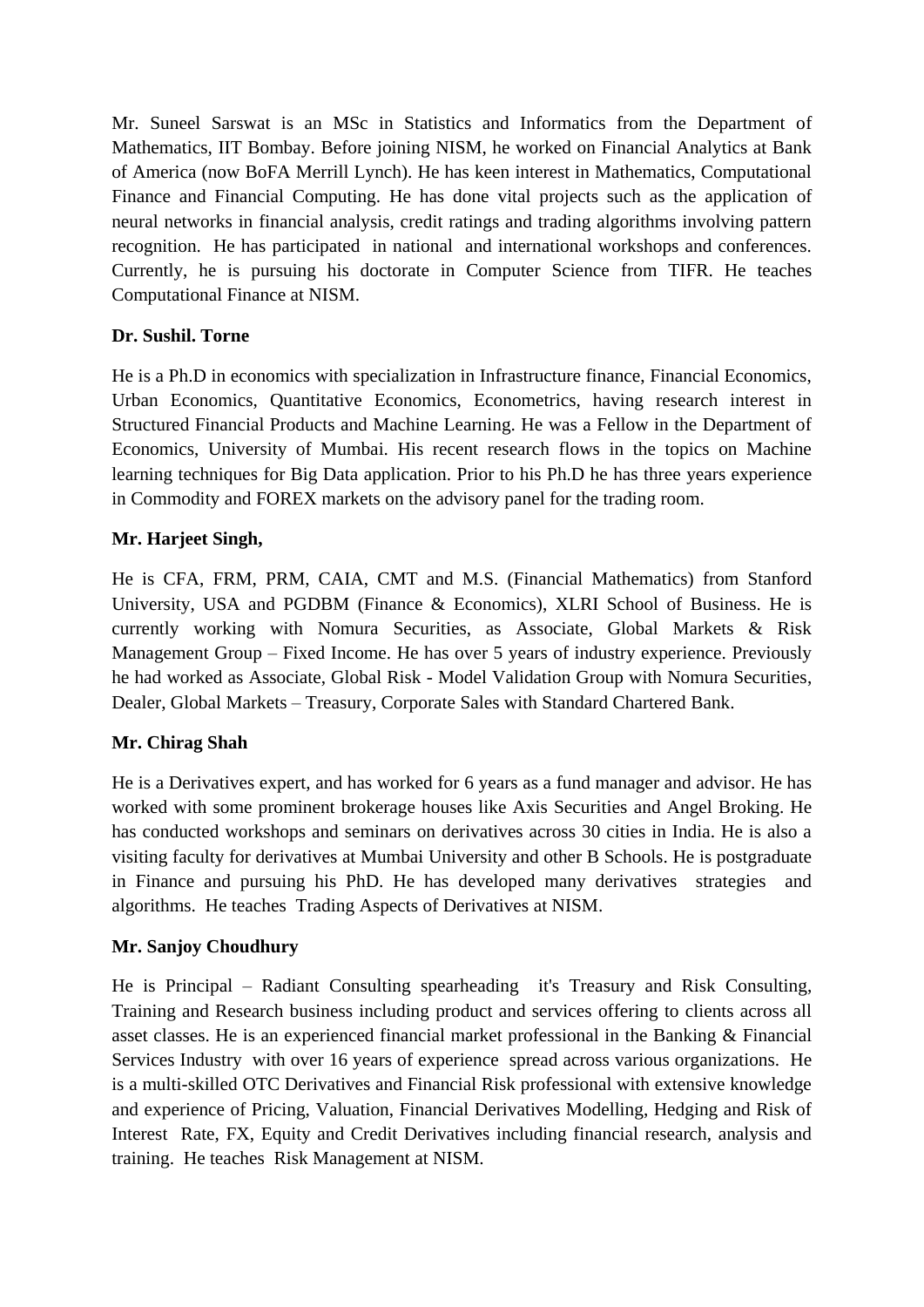Mr. Suneel Sarswat is an MSc in Statistics and Informatics from the Department of Mathematics, IIT Bombay. Before joining NISM, he worked on Financial Analytics at Bank of America (now BoFA Merrill Lynch). He has keen interest in Mathematics, Computational Finance and Financial Computing. He has done vital projects such as the application of neural networks in financial analysis, credit ratings and trading algorithms involving pattern recognition. He has participated in national and international workshops and conferences. Currently, he is pursuing his doctorate in Computer Science from TIFR. He teaches Computational Finance at NISM.

# **Dr. Sushil. Torne**

He is a Ph.D in economics with specialization in Infrastructure finance, Financial Economics, Urban Economics, Quantitative Economics, Econometrics, having research interest in Structured Financial Products and Machine Learning. He was a Fellow in the Department of Economics, University of Mumbai. His recent research flows in the topics on Machine learning techniques for Big Data application. Prior to his Ph.D he has three years experience in Commodity and FOREX markets on the advisory panel for the trading room.

# **Mr. Harjeet Singh,**

He is CFA, FRM, PRM, CAIA, CMT and M.S. (Financial Mathematics) from Stanford University, USA and PGDBM (Finance & Economics), XLRI School of Business. He is currently working with Nomura Securities, as Associate, Global Markets & Risk Management Group – Fixed Income. He has over 5 years of industry experience. Previously he had worked as Associate, Global Risk - Model Validation Group with Nomura Securities, Dealer, Global Markets – Treasury, Corporate Sales with Standard Chartered Bank.

### **Mr. Chirag Shah**

He is a Derivatives expert, and has worked for 6 years as a fund manager and advisor. He has worked with some prominent brokerage houses like Axis Securities and Angel Broking. He has conducted workshops and seminars on derivatives across 30 cities in India. He is also a visiting faculty for derivatives at Mumbai University and other B Schools. He is postgraduate in Finance and pursuing his PhD. He has developed many derivatives strategies and algorithms. He teaches Trading Aspects of Derivatives at NISM.

### **Mr. Sanjoy Choudhury**

He is Principal – Radiant Consulting spearheading it's Treasury and Risk Consulting, Training and Research business including product and services offering to clients across all asset classes. He is an experienced financial market professional in the Banking & Financial Services Industry with over 16 years of experience spread across various organizations. He is a multi-skilled OTC Derivatives and Financial Risk professional with extensive knowledge and experience of Pricing, Valuation, Financial Derivatives Modelling, Hedging and Risk of Interest Rate, FX, Equity and Credit Derivatives including financial research, analysis and training. He teaches Risk Management at NISM.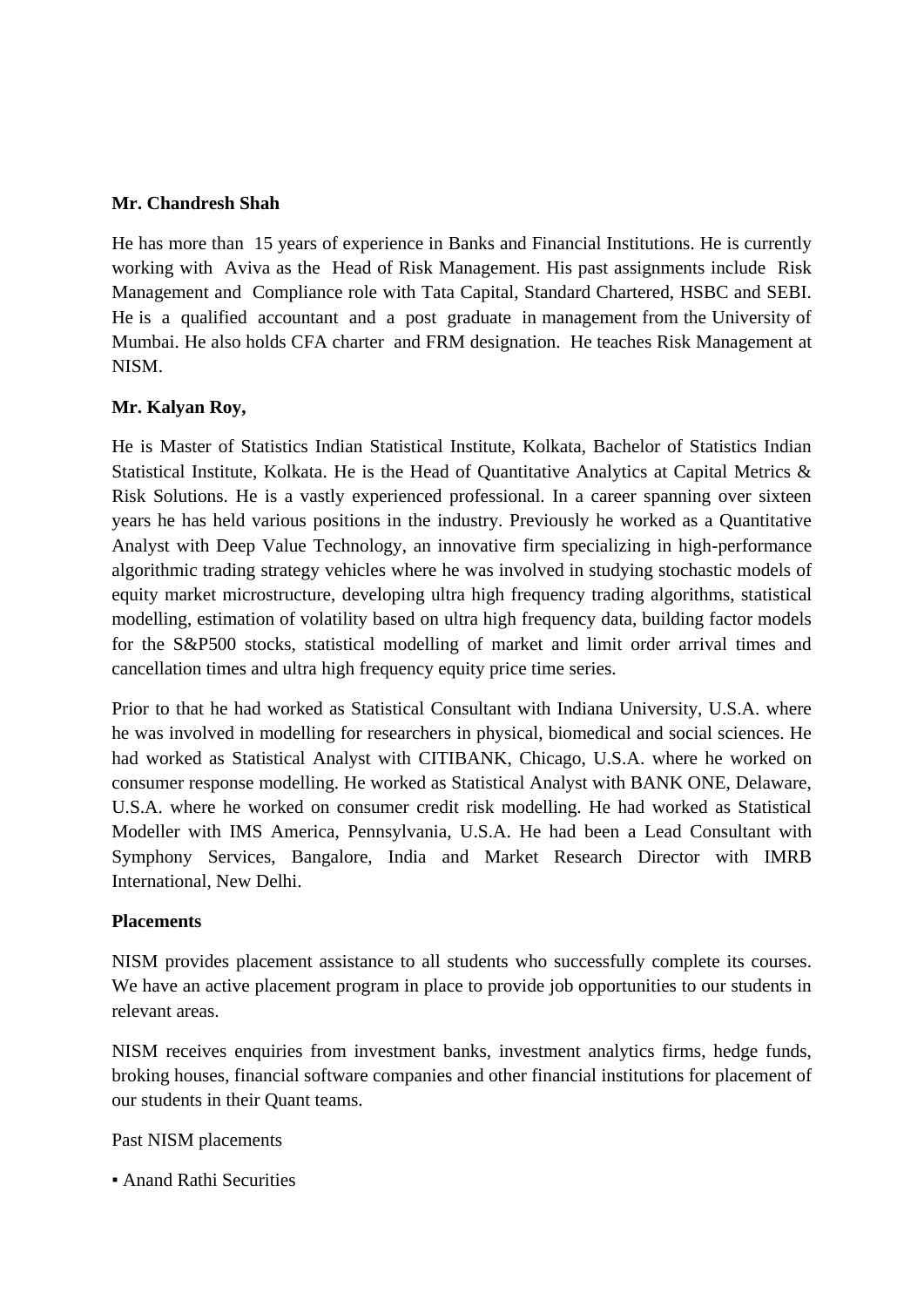### **Mr. Chandresh Shah**

He has more than 15 years of experience in Banks and Financial Institutions. He is currently working with Aviva as the Head of Risk Management. His past assignments include Risk Management and Compliance role with Tata Capital, Standard Chartered, HSBC and SEBI. He is a qualified accountant and a post graduate in management from the University of Mumbai. He also holds CFA charter and FRM designation. He teaches Risk Management at NISM.

### **Mr. Kalyan Roy,**

He is Master of Statistics Indian Statistical Institute, Kolkata, Bachelor of Statistics Indian Statistical Institute, Kolkata. He is the Head of Quantitative Analytics at Capital Metrics & Risk Solutions. He is a vastly experienced professional. In a career spanning over sixteen years he has held various positions in the industry. Previously he worked as a Quantitative Analyst with Deep Value Technology, an innovative firm specializing in high-performance algorithmic trading strategy vehicles where he was involved in studying stochastic models of equity market microstructure, developing ultra high frequency trading algorithms, statistical modelling, estimation of volatility based on ultra high frequency data, building factor models for the S&P500 stocks, statistical modelling of market and limit order arrival times and cancellation times and ultra high frequency equity price time series.

Prior to that he had worked as Statistical Consultant with Indiana University, U.S.A. where he was involved in modelling for researchers in physical, biomedical and social sciences. He had worked as Statistical Analyst with CITIBANK, Chicago, U.S.A. where he worked on consumer response modelling. He worked as Statistical Analyst with BANK ONE, Delaware, U.S.A. where he worked on consumer credit risk modelling. He had worked as Statistical Modeller with IMS America, Pennsylvania, U.S.A. He had been a Lead Consultant with Symphony Services, Bangalore, India and Market Research Director with IMRB International, New Delhi.

#### **Placements**

NISM provides placement assistance to all students who successfully complete its courses. We have an active placement program in place to provide job opportunities to our students in relevant areas.

NISM receives enquiries from investment banks, investment analytics firms, hedge funds, broking houses, financial software companies and other financial institutions for placement of our students in their Quant teams.

#### Past NISM placements

**• Anand Rathi Securities**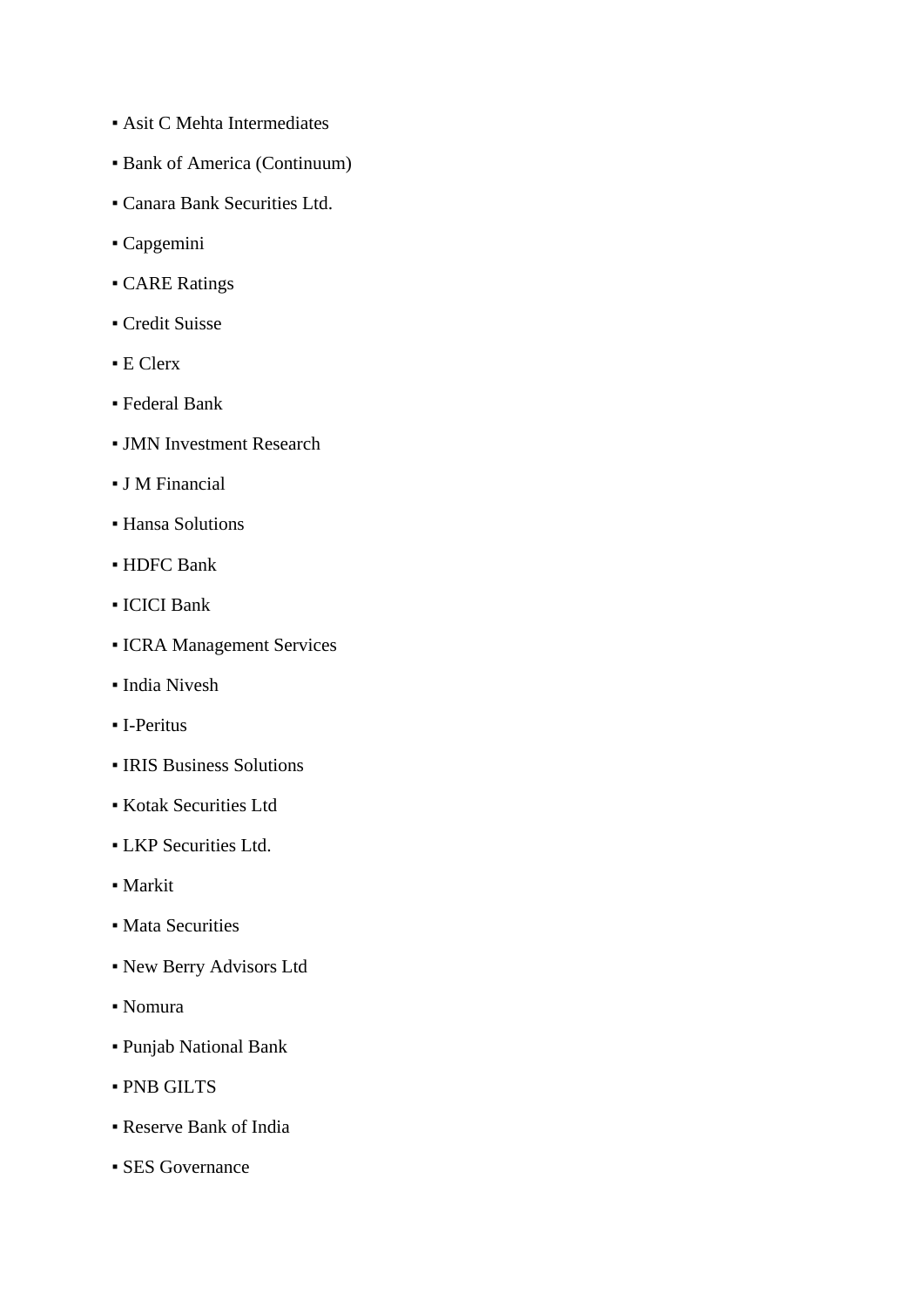- **Asit C Mehta Intermediates**
- Bank of America (Continuum)
- Canara Bank Securities Ltd.
- Capgemini
- **CARE Ratings**
- Credit Suisse
- E Clerx
- Federal Bank
- **JMN Investment Research**
- J M Financial
- Hansa Solutions
- HDFC Bank
- ICICI Bank
- **ICRA Management Services**
- India Nivesh
- I-Peritus
- IRIS Business Solutions
- Kotak Securities Ltd
- LKP Securities Ltd.
- Markit
- **Mata Securities**
- New Berry Advisors Ltd
- Nomura
- Punjab National Bank
- PNB GILTS
- Reserve Bank of India
- **SES Governance**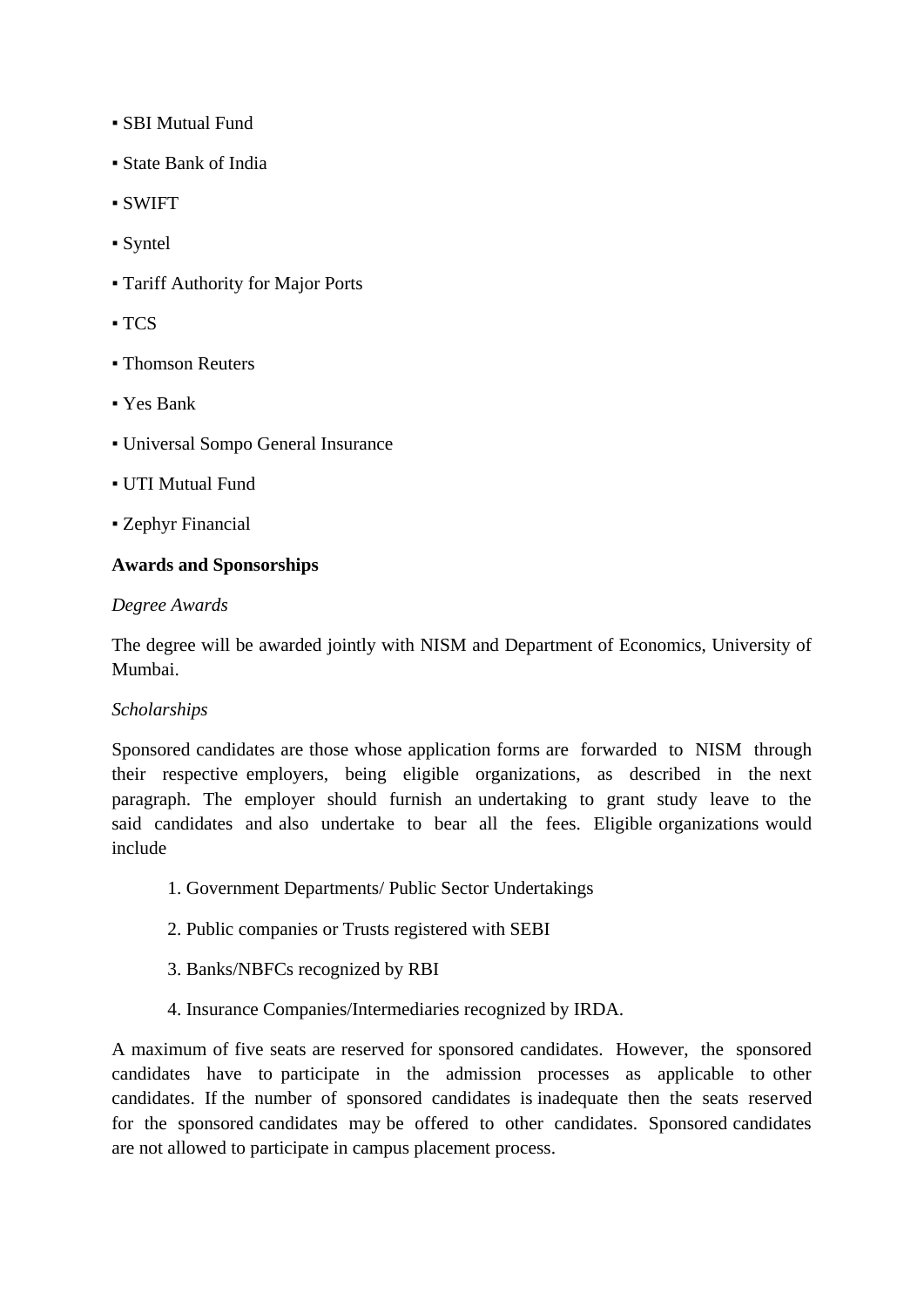- SBI Mutual Fund
- State Bank of India
- SWIFT
- Syntel
- Tariff Authority for Major Ports
- $-$  TCS
- **Exercise Betters**
- Yes Bank
- Universal Sompo General Insurance
- UTI Mutual Fund
- Zephyr Financial

### **Awards and Sponsorships**

#### *Degree Awards*

The degree will be awarded jointly with NISM and Department of Economics, University of Mumbai.

### *Scholarships*

Sponsored candidates are those whose application forms are forwarded to NISM through their respective employers, being eligible organizations, as described in the next paragraph. The employer should furnish an undertaking to grant study leave to the said candidates and also undertake to bear all the fees. Eligible organizations would include

- 1. Government Departments/ Public Sector Undertakings
- 2. Public companies or Trusts registered with SEBI
- 3. Banks/NBFCs recognized by RBI
- 4. Insurance Companies/Intermediaries recognized by IRDA.

A maximum of five seats are reserved for sponsored candidates. However, the sponsored candidates have to participate in the admission processes as applicable to other candidates. If the number of sponsored candidates is inadequate then the seats reserved for the sponsored candidates may be offered to other candidates. Sponsored candidates are not allowed to participate in campus placement process.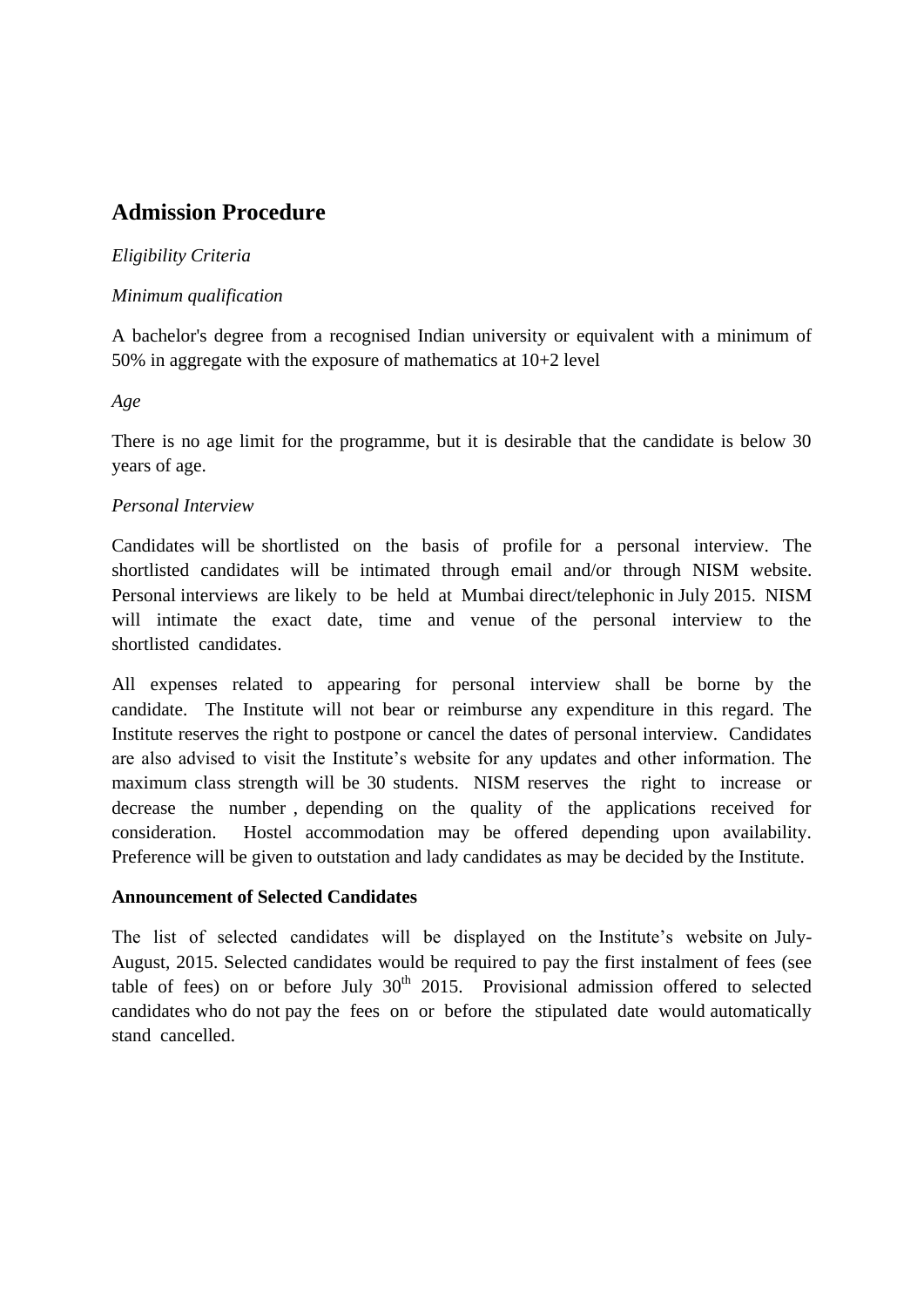# **Admission Procedure**

### *Eligibility Criteria*

### *Minimum qualification*

A bachelor's degree from a recognised Indian university or equivalent with a minimum of 50% in aggregate with the exposure of mathematics at 10+2 level

*Age*

There is no age limit for the programme, but it is desirable that the candidate is below 30 years of age.

# *Personal Interview*

Candidates will be shortlisted on the basis of profile for a personal interview. The shortlisted candidates will be intimated through email and/or through NISM website. Personal interviews are likely to be held at Mumbai direct/telephonic in July 2015. NISM will intimate the exact date, time and venue of the personal interview to the shortlisted candidates.

All expenses related to appearing for personal interview shall be borne by the candidate. The Institute will not bear or reimburse any expenditure in this regard. The Institute reserves the right to postpone or cancel the dates of personal interview. Candidates are also advised to visit the Institute's website for any updates and other information. The maximum class strength will be 30 students. NISM reserves the right to increase or decrease the number , depending on the quality of the applications received for consideration. Hostel accommodation may be offered depending upon availability. Preference will be given to outstation and lady candidates as may be decided by the Institute.

### **Announcement of Selected Candidates**

The list of selected candidates will be displayed on the Institute's website on July-August, 2015. Selected candidates would be required to pay the first instalment of fees (see table of fees) on or before July  $30<sup>th</sup>$  2015. Provisional admission offered to selected candidates who do not pay the fees on or before the stipulated date would automatically stand cancelled.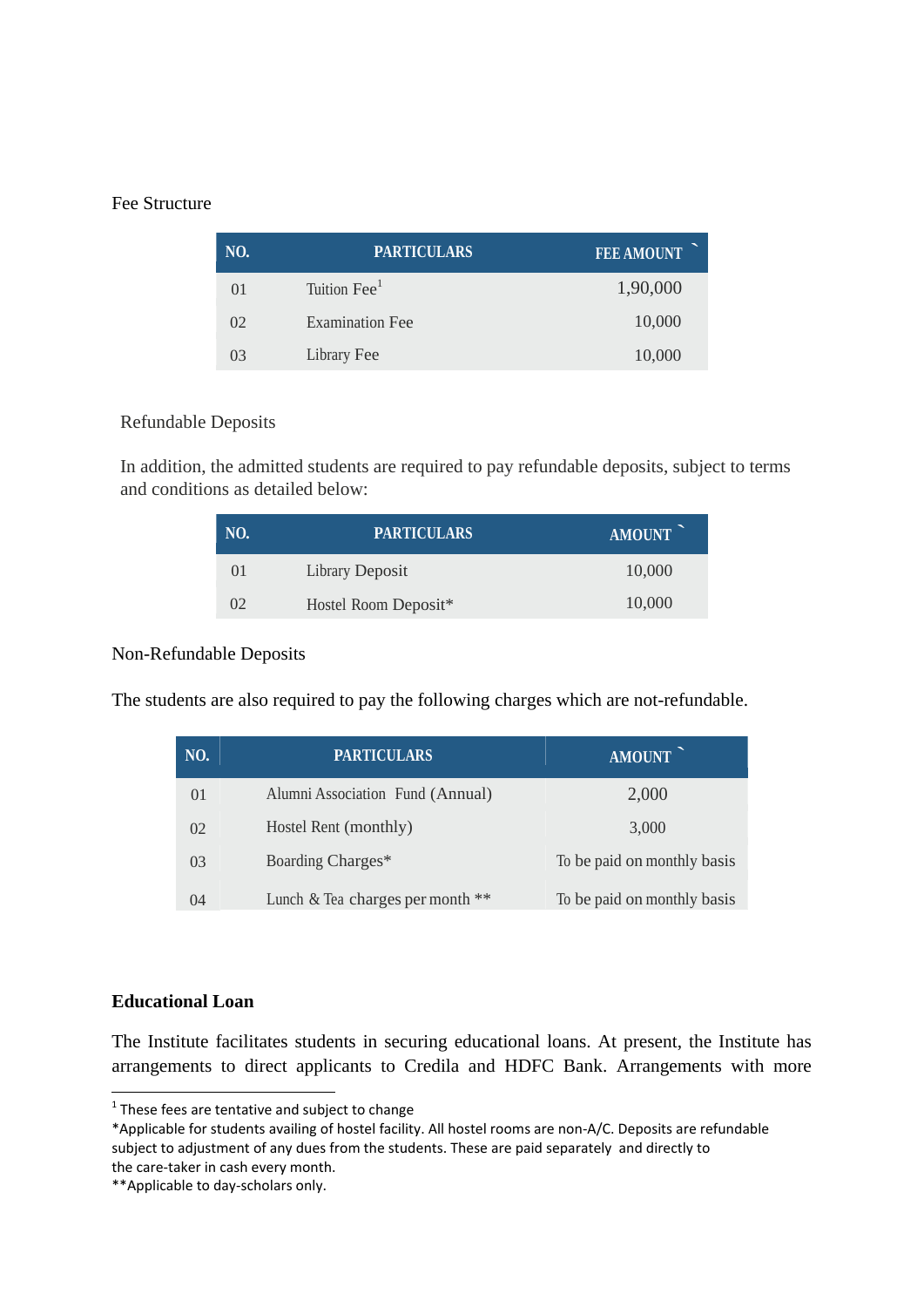#### Fee Structure

| NO.            | <b>PARTICULARS</b>       | <b>FEE AMOUNT</b> |
|----------------|--------------------------|-------------------|
| $\Omega$       | Tuition Fee <sup>1</sup> | 1,90,000          |
| 02             | <b>Examination Fee</b>   | 10,000            |
| 0 <sub>3</sub> | Library Fee              | 10,000            |

#### Refundable Deposits

In addition, the admitted students are required to pay refundable deposits, subject to terms and conditions as detailed below:

| NO.      | <b>PARTICULARS</b>     | AMOUNT |
|----------|------------------------|--------|
| $^{01}$  | <b>Library Deposit</b> | 10,000 |
| $\Omega$ | Hostel Room Deposit*   | 10,000 |

### Non-Refundable Deposits

The students are also required to pay the following charges which are not-refundable.

| NO. | <b>PARTICULARS</b>               | AMOUNT                      |
|-----|----------------------------------|-----------------------------|
| 01  | Alumni Association Fund (Annual) | 2,000                       |
| 02  | Hostel Rent (monthly)            | 3,000                       |
| 03  | Boarding Charges*                | To be paid on monthly basis |
| 04  | Lunch & Tea charges per month ** | To be paid on monthly basis |

#### **Educational Loan**

**.** 

The Institute facilitates students in securing educational loans. At present, the Institute has arrangements to direct applicants to Credila and HDFC Bank. Arrangements with more

 $1$  These fees are tentative and subject to change

<sup>\*</sup>Applicable for students availing of hostel facility. All hostel rooms are non-A/C. Deposits are refundable subject to adjustment of any dues from the students. These are paid separately and directly to the care-taker in cash every month.

<sup>\*\*</sup>Applicable to day-scholars only.